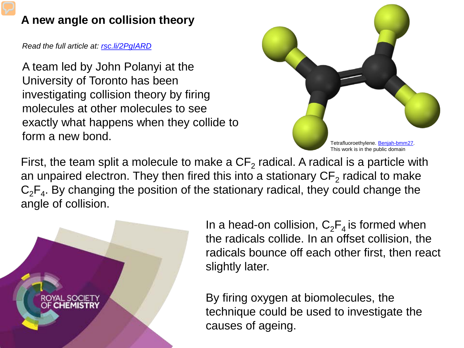## **A new angle on collision theory**

*Read the full article at: [rsc.li/2PgIARD](https://rsc.li/2PgIARD)*

A team led by John Polanyi at the University of Toronto has been investigating collision theory by firing molecules at other molecules to see exactly what happens when they collide to form a new bond.



First, the team split a molecule to make a  $CF<sub>2</sub>$  radical. A radical is a particle with an unpaired electron. They then fired this into a stationary  $CF<sub>2</sub>$  radical to make  $C_2F_4$ . By changing the position of the stationary radical, they could change the angle of collision.



In a head-on collision,  $C_2F_4$  is formed when the radicals collide. In an offset collision, the radicals bounce off each other first, then react slightly later.

By firing oxygen at biomolecules, the technique could be used to investigate the causes of ageing.